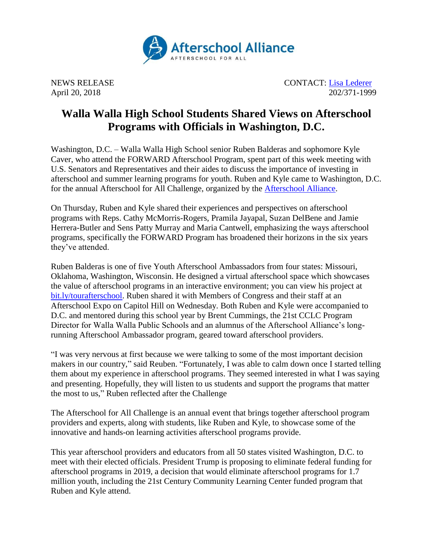

NEWS RELEASE CONTACT: [Lisa Lederer](mailto:lisa@prsolutionsdc.com) April 20, 2018 202/371-1999

## **Walla Walla High School Students Shared Views on Afterschool Programs with Officials in Washington, D.C.**

Washington, D.C. – Walla Walla High School senior Ruben Balderas and sophomore Kyle Caver, who attend the FORWARD Afterschool Program, spent part of this week meeting with U.S. Senators and Representatives and their aides to discuss the importance of investing in afterschool and summer learning programs for youth. Ruben and Kyle came to Washington, D.C. for the annual Afterschool for All Challenge, organized by the [Afterschool Alliance.](http://www.afterschoolalliance.org/)

On Thursday, Ruben and Kyle shared their experiences and perspectives on afterschool programs with Reps. Cathy McMorris-Rogers, Pramila Jayapal, Suzan DelBene and Jamie Herrera-Butler and Sens Patty Murray and Maria Cantwell, emphasizing the ways afterschool programs, specifically the FORWARD Program has broadened their horizons in the six years they've attended.

Ruben Balderas is one of five Youth Afterschool Ambassadors from four states: Missouri, Oklahoma, Washington, Wisconsin. He designed a virtual afterschool space which showcases the value of afterschool programs in an interactive environment; you can view his project at [bit.ly/tourafterschool.](https://my.matterport.com/show/?m=ZAqeDDS56qz) Ruben shared it with Members of Congress and their staff at an Afterschool Expo on Capitol Hill on Wednesday. Both Ruben and Kyle were accompanied to D.C. and mentored during this school year by Brent Cummings, the 21st CCLC Program Director for Walla Walla Public Schools and an alumnus of the Afterschool Alliance's longrunning Afterschool Ambassador program, geared toward afterschool providers.

"I was very nervous at first because we were talking to some of the most important decision makers in our country," said Reuben. "Fortunately, I was able to calm down once I started telling them about my experience in afterschool programs. They seemed interested in what I was saying and presenting. Hopefully, they will listen to us students and support the programs that matter the most to us," Ruben reflected after the Challenge

The Afterschool for All Challenge is an annual event that brings together afterschool program providers and experts, along with students, like Ruben and Kyle, to showcase some of the innovative and hands-on learning activities afterschool programs provide.

This year afterschool providers and educators from all 50 states visited Washington, D.C. to meet with their elected officials. President Trump is proposing to eliminate federal funding for afterschool programs in 2019, a decision that would eliminate afterschool programs for 1.7 million youth, including the 21st Century Community Learning Center funded program that Ruben and Kyle attend.